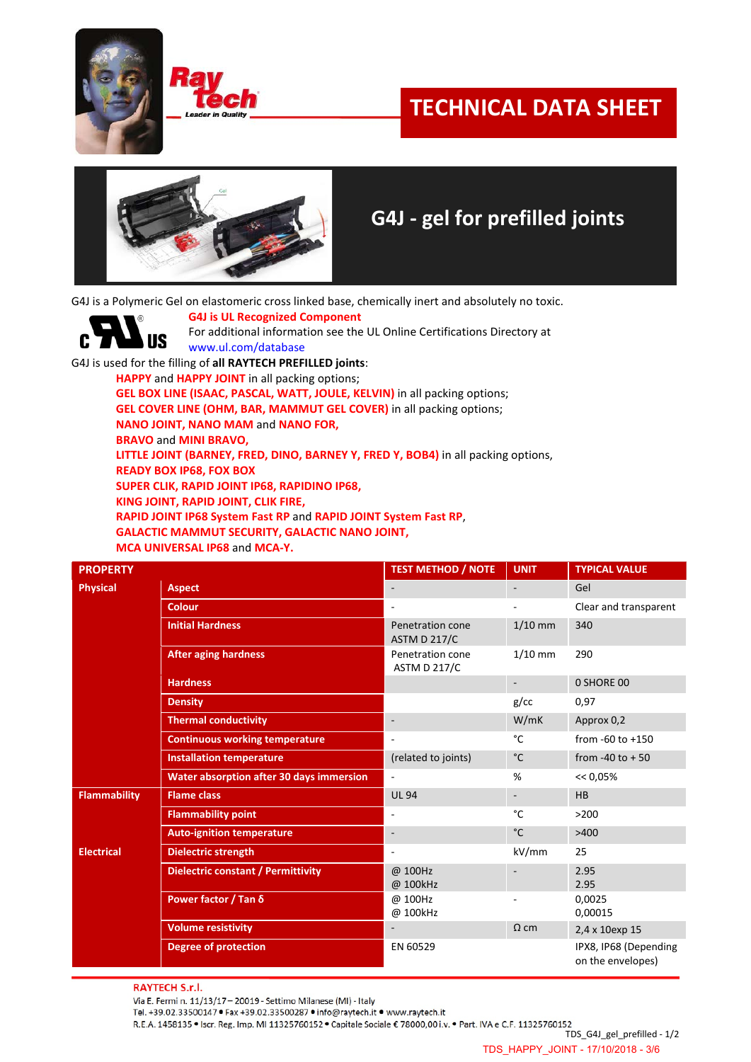

C



## **TECHNICAL DATA SHEET**



## **G4J - gel for prefilled joints**

G4J is a Polymeric Gel on elastomeric cross linked base, chemically inert and absolutely no toxic.

**G4J is UL Recognized Component** For additional information see the UL Online Certifications Directory at **US** www.ul.com/database

G4J is used for the filling of **all RAYTECH PREFILLED joints**:

**HAPPY** and **HAPPY JOINT** in all packing options;

**GEL BOX LINE (ISAAC, PASCAL, WATT, JOULE, KELVIN)** in all packing options;

**GEL COVER LINE (OHM, BAR, MAMMUT GEL COVER)** in all packing options;

**NANO JOINT, NANO MAM** and **NANO FOR,** 

**BRAVO** and **MINI BRAVO,**

**LITTLE JOINT (BARNEY, FRED, DINO, BARNEY Y, FRED Y, BOB4)** in all packing options,

**READY BOX IP68, FOX BOX**

**SUPER CLIK, RAPID JOINT IP68, RAPIDINO IP68,**

**KING JOINT, RAPID JOINT, CLIK FIRE,** 

**RAPID JOINT IP68 System Fast RP** and **RAPID JOINT System Fast RP**,

**GALACTIC MAMMUT SECURITY, GALACTIC NANO JOINT,**

**MCA UNIVERSAL IP68** and **MCA-Y.**

| <b>PROPERTY</b>     |                                                 | <b>TEST METHOD / NOTE</b><br><b>UNIT</b> |                          | <b>TYPICAL VALUE</b>                       |  |
|---------------------|-------------------------------------------------|------------------------------------------|--------------------------|--------------------------------------------|--|
| <b>Physical</b>     | <b>Aspect</b>                                   |                                          |                          | Gel                                        |  |
|                     | <b>Colour</b>                                   | $\overline{\phantom{a}}$                 |                          | Clear and transparent                      |  |
|                     | <b>Initial Hardness</b>                         | Penetration cone<br><b>ASTM D 217/C</b>  | $1/10$ mm                | 340                                        |  |
|                     | <b>After aging hardness</b>                     | Penetration cone<br>ASTM D 217/C         | $1/10$ mm                | 290                                        |  |
|                     | <b>Hardness</b>                                 |                                          | $\overline{\phantom{a}}$ | 0 SHORE 00                                 |  |
|                     | <b>Density</b>                                  |                                          | $g$ /cc                  | 0,97                                       |  |
|                     | <b>Thermal conductivity</b>                     |                                          | W/mK                     | Approx 0,2                                 |  |
|                     | <b>Continuous working temperature</b>           | $\sim$                                   | °C                       | from $-60$ to $+150$                       |  |
|                     | <b>Installation temperature</b>                 | (related to joints)                      | $^{\circ}$ C             | from -40 to $+50$                          |  |
|                     | <b>Water absorption after 30 days immersion</b> |                                          | %                        | $<< 0.05\%$                                |  |
| <b>Flammability</b> | <b>Flame class</b>                              | <b>UL 94</b>                             | $\overline{\phantom{a}}$ | HB                                         |  |
|                     | <b>Flammability point</b>                       |                                          | °C                       | >200                                       |  |
|                     | <b>Auto-ignition temperature</b>                | $\blacksquare$                           | $^{\circ}$ C             | >400                                       |  |
| <b>Electrical</b>   | <b>Dielectric strength</b>                      | ٠                                        | kV/mm                    | 25                                         |  |
|                     | <b>Dielectric constant / Permittivity</b>       | @ 100Hz<br>@ 100kHz                      |                          | 2.95<br>2.95                               |  |
|                     | Power factor / Tan δ                            | @ 100Hz<br>@ 100kHz                      |                          | 0,0025<br>0,00015                          |  |
|                     | <b>Volume resistivity</b>                       |                                          | $\Omega$ cm              | 2,4 x 10exp 15                             |  |
|                     | <b>Degree of protection</b>                     | EN 60529                                 |                          | IPX8, IP68 (Depending<br>on the envelopes) |  |

**RAYTECH S.r.l.** 

Via E. Fermi n. 11/13/17 - 20019 - Settimo Milanese (MI) - Italy

Tel. +39.02.33500147 · Fax +39.02.33500287 · info@raytech.it · www.raytech.it

R.E.A. 1458135 . Iscr. Reg. Imp. MI 11325760152 . Capitale Sociale € 78000,00 i.v. . Part. IVA e C.F. 11325760152

TDS\_G4J\_gel\_prefilled - 1/2

TDS\_HAPPY\_JOINT - 17/10/2018 - 3/6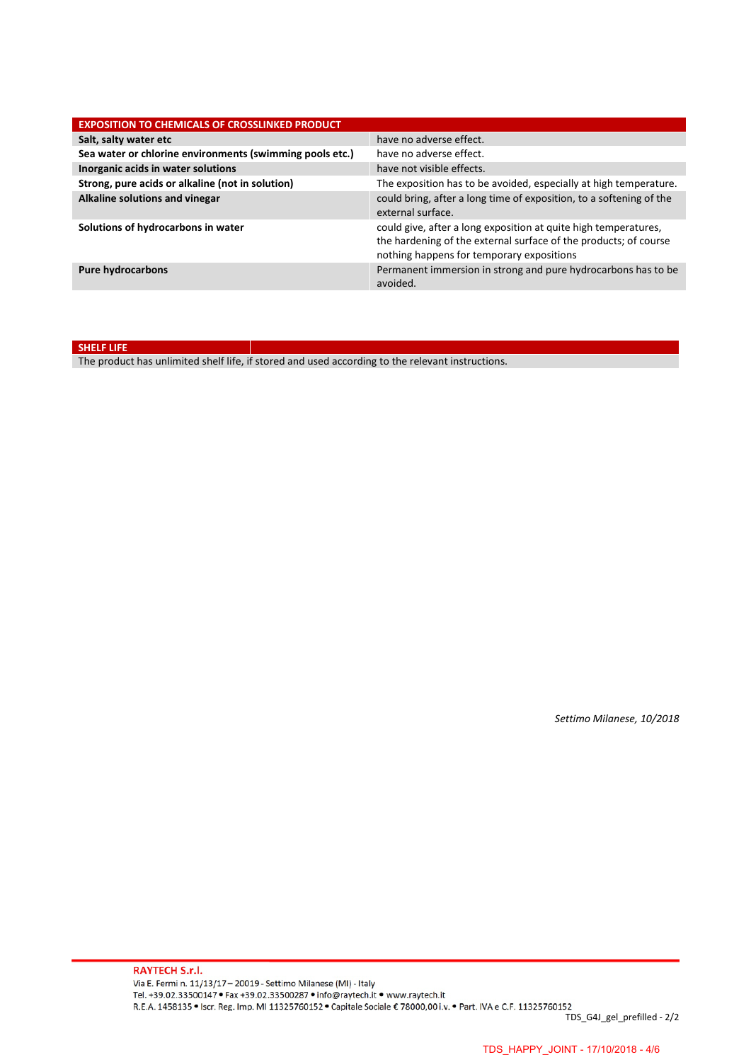| <b>EXPOSITION TO CHEMICALS OF CROSSLINKED PRODUCT</b>    |                                                                                                                                                                                  |  |  |  |  |
|----------------------------------------------------------|----------------------------------------------------------------------------------------------------------------------------------------------------------------------------------|--|--|--|--|
| Salt, salty water etc                                    | have no adverse effect.                                                                                                                                                          |  |  |  |  |
| Sea water or chlorine environments (swimming pools etc.) | have no adverse effect.                                                                                                                                                          |  |  |  |  |
| Inorganic acids in water solutions                       | have not visible effects.                                                                                                                                                        |  |  |  |  |
| Strong, pure acids or alkaline (not in solution)         | The exposition has to be avoided, especially at high temperature.                                                                                                                |  |  |  |  |
| Alkaline solutions and vinegar                           | could bring, after a long time of exposition, to a softening of the<br>external surface.                                                                                         |  |  |  |  |
| Solutions of hydrocarbons in water                       | could give, after a long exposition at quite high temperatures,<br>the hardening of the external surface of the products; of course<br>nothing happens for temporary expositions |  |  |  |  |
| <b>Pure hydrocarbons</b>                                 | Permanent immersion in strong and pure hydrocarbons has to be<br>avoided.                                                                                                        |  |  |  |  |

**SHELF LIFE**

The product has unlimited shelf life, if stored and used according to the relevant instructions.

*Settimo Milanese, 10/2018*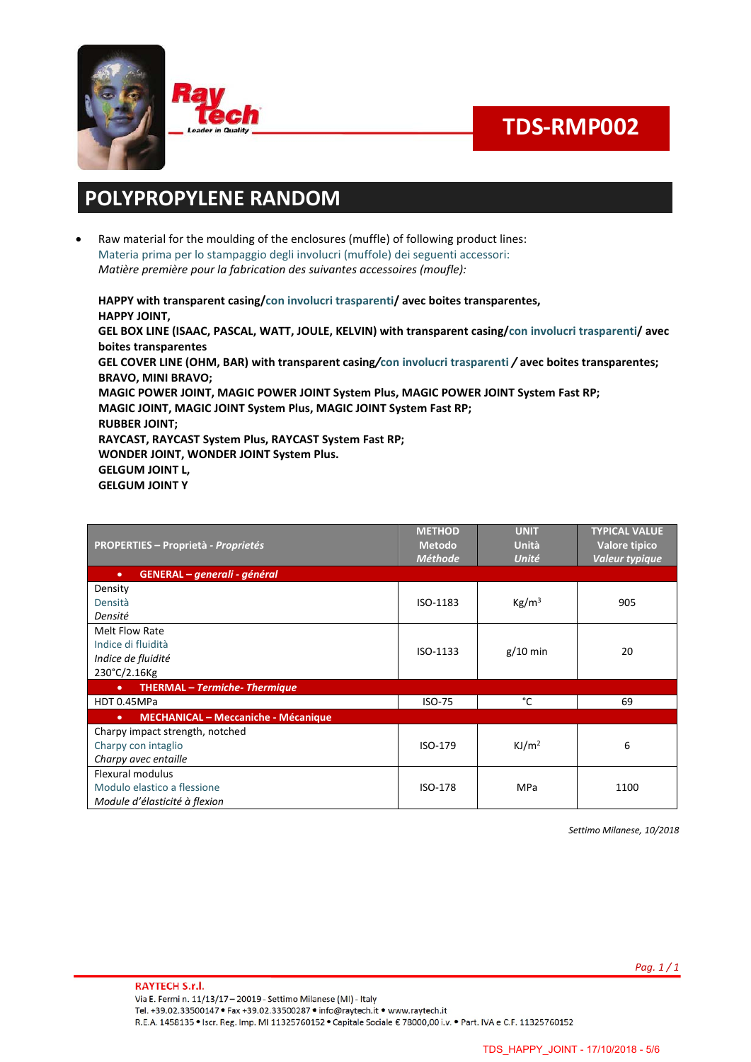



# **TDS-RMP002**

### **POLYPROPYLENE RANDOM**

• Raw material for the moulding of the enclosures (muffle) of following product lines: Materia prima per lo stampaggio degli involucri (muffole) dei seguenti accessori: *Matière première pour la fabrication des suivantes accessoires (moufle):*

**HAPPY with transparent casing/con involucri trasparenti/ avec boites transparentes, HAPPY JOINT, GEL BOX LINE (ISAAC, PASCAL, WATT, JOULE, KELVIN) with transparent casing/con involucri trasparenti/ avec boites transparentes GEL COVER LINE (OHM, BAR) with transparent casing***/***con involucri trasparenti** */* **avec boites transparentes; BRAVO, MINI BRAVO; MAGIC POWER JOINT, MAGIC POWER JOINT System Plus, MAGIC POWER JOINT System Fast RP; MAGIC JOINT, MAGIC JOINT System Plus, MAGIC JOINT System Fast RP; RUBBER JOINT; RAYCAST, RAYCAST System Plus, RAYCAST System Fast RP; WONDER JOINT, WONDER JOINT System Plus. GELGUM JOINT L, GELGUM JOINT Y**

| <b>PROPERTIES - Proprietà - Proprietés</b>              | <b>METHOD</b><br><b>Metodo</b><br><b>Méthode</b> | <b>UNIT</b><br>Unità<br>Unité | <b>TYPICAL VALUE</b><br>Valore tipico<br>Valeur typique |  |
|---------------------------------------------------------|--------------------------------------------------|-------------------------------|---------------------------------------------------------|--|
| GENERAL – generali - général<br>$\bullet$               |                                                  |                               |                                                         |  |
| Density                                                 |                                                  |                               |                                                         |  |
| Densità                                                 | ISO-1183                                         | Kg/m <sup>3</sup>             | 905                                                     |  |
| Densité                                                 |                                                  |                               |                                                         |  |
| Melt Flow Rate                                          |                                                  |                               |                                                         |  |
| Indice di fluidità                                      | ISO-1133                                         | $g/10$ min                    | 20                                                      |  |
| Indice de fluidité                                      |                                                  |                               |                                                         |  |
| 230°C/2.16Kg                                            |                                                  |                               |                                                         |  |
| <b>THERMAL - Termiche- Thermique</b><br>$\bullet$       |                                                  |                               |                                                         |  |
| HDT 0.45MPa                                             | ISO-75                                           | °C                            | 69                                                      |  |
| <b>MECHANICAL - Meccaniche - Mécanique</b><br>$\bullet$ |                                                  |                               |                                                         |  |
| Charpy impact strength, notched                         | ISO-179                                          |                               | 6                                                       |  |
| Charpy con intaglio                                     |                                                  | KJ/m <sup>2</sup>             |                                                         |  |
| Charpy avec entaille                                    |                                                  |                               |                                                         |  |
| Flexural modulus                                        | ISO-178                                          |                               | 1100                                                    |  |
| Modulo elastico a flessione                             |                                                  | MPa                           |                                                         |  |
| Module d'élasticité à flexion                           |                                                  |                               |                                                         |  |

*Settimo Milanese, 10/2018*